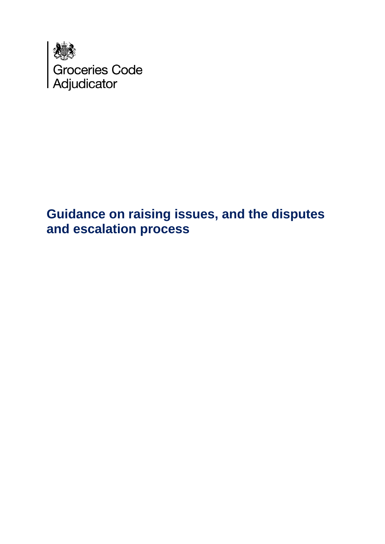

# **Guidance on raising issues, and the disputes and escalation process**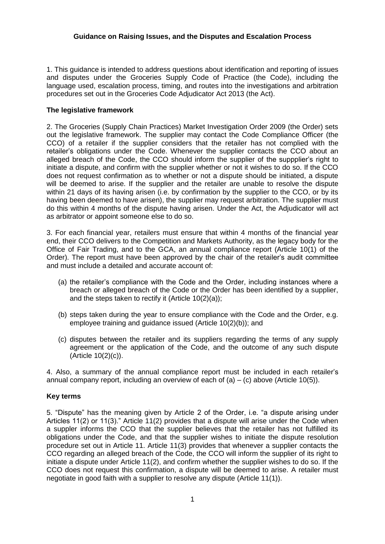#### **Guidance on Raising Issues, and the Disputes and Escalation Process**

1. This guidance is intended to address questions about identification and reporting of issues and disputes under the Groceries Supply Code of Practice (the Code), including the language used, escalation process, timing, and routes into the investigations and arbitration procedures set out in the Groceries Code Adjudicator Act 2013 (the Act).

#### **The legislative framework**

2. The Groceries (Supply Chain Practices) Market Investigation Order 2009 (the Order) sets out the legislative framework. The supplier may contact the Code Compliance Officer (the CCO) of a retailer if the supplier considers that the retailer has not complied with the retailer's obligations under the Code. Whenever the supplier contacts the CCO about an alleged breach of the Code, the CCO should inform the supplier of the suppplier's right to initiate a dispute, and confirm with the supplier whether or not it wishes to do so. If the CCO does not request confirmation as to whether or not a dispute should be initiated, a dispute will be deemed to arise. If the supplier and the retailer are unable to resolve the dispute within 21 days of its having arisen (i.e. by confirmation by the supplier to the CCO, or by its having been deemed to have arisen), the supplier may request arbitration. The supplier must do this within 4 months of the dispute having arisen. Under the Act, the Adjudicator will act as arbitrator or appoint someone else to do so.

3. For each financial year, retailers must ensure that within 4 months of the financial year end, their CCO delivers to the Competition and Markets Authority, as the legacy body for the Office of Fair Trading, and to the GCA, an annual compliance report (Article 10(1) of the Order). The report must have been approved by the chair of the retailer's audit committee and must include a detailed and accurate account of:

- (a) the retailer's compliance with the Code and the Order, including instances where a breach or alleged breach of the Code or the Order has been identified by a supplier, and the steps taken to rectify it (Article 10(2)(a));
- (b) steps taken during the year to ensure compliance with the Code and the Order, e.g. employee training and guidance issued (Article 10(2)(b)); and
- (c) disputes between the retailer and its suppliers regarding the terms of any supply agreement or the application of the Code, and the outcome of any such dispute (Article 10(2)(c)).

4. Also, a summary of the annual compliance report must be included in each retailer's annual company report, including an overview of each of  $(a) - (c)$  above (Article 10(5)).

# **Key terms**

5. "Dispute" has the meaning given by Article 2 of the Order, i.e. "a dispute arising under Articles 11(2) or 11(3)." Article 11(2) provides that a dispute will arise under the Code when a suppler informs the CCO that the supplier believes that the retailer has not fulfilled its obligations under the Code, and that the supplier wishes to initiate the dispute resolution procedure set out in Article 11. Article 11(3) provides that whenever a supplier contacts the CCO regarding an alleged breach of the Code, the CCO will inform the supplier of its right to initiate a dispute under Article 11(2), and confirm whether the supplier wishes to do so. If the CCO does not request this confirmation, a dispute will be deemed to arise. A retailer must negotiate in good faith with a supplier to resolve any dispute (Article 11(1)).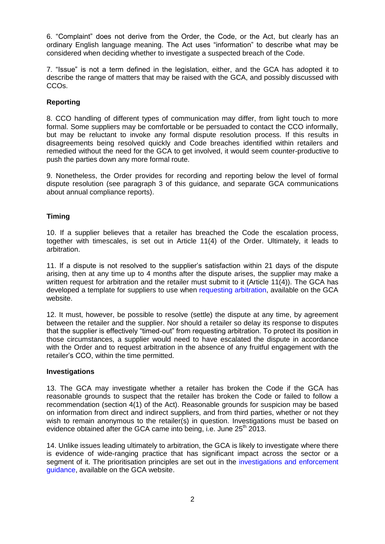6. "Complaint" does not derive from the Order, the Code, or the Act, but clearly has an ordinary English language meaning. The Act uses "information" to describe what may be considered when deciding whether to investigate a suspected breach of the Code.

7. "Issue" is not a term defined in the legislation, either, and the GCA has adopted it to describe the range of matters that may be raised with the GCA, and possibly discussed with CCOs.

# **Reporting**

8. CCO handling of different types of communication may differ, from light touch to more formal. Some suppliers may be comfortable or be persuaded to contact the CCO informally, but may be reluctant to invoke any formal dispute resolution process. If this results in disagreements being resolved quickly and Code breaches identified within retailers and remedied without the need for the GCA to get involved, it would seem counter-productive to push the parties down any more formal route.

9. Nonetheless, the Order provides for recording and reporting below the level of formal dispute resolution (see paragraph 3 of this guidance, and separate GCA communications about annual compliance reports).

# **Timing**

10. If a supplier believes that a retailer has breached the Code the escalation process, together with timescales, is set out in Article 11(4) of the Order. Ultimately, it leads to arbitration.

11. If a dispute is not resolved to the supplier's satisfaction within 21 days of the dispute arising, then at any time up to 4 months after the dispute arises, the supplier may make a written request for arbitration and the retailer must submit to it (Article 11(4)). The GCA has developed a template for suppliers to use when [requesting arbitration,](https://www.gov.uk/government/publications/arbitration-request-form) available on the GCA website.

12. It must, however, be possible to resolve (settle) the dispute at any time, by agreement between the retailer and the supplier. Nor should a retailer so delay its response to disputes that the supplier is effectively "timed-out" from requesting arbitration. To protect its position in those circumstances, a supplier would need to have escalated the dispute in accordance with the Order and to request arbitration in the absence of any fruitful engagement with the retailer's CCO, within the time permitted.

# **Investigations**

13. The GCA may investigate whether a retailer has broken the Code if the GCA has reasonable grounds to suspect that the retailer has broken the Code or failed to follow a recommendation (section 4(1) of the Act). Reasonable grounds for suspicion may be based on information from direct and indirect suppliers, and from third parties, whether or not they wish to remain anonymous to the retailer(s) in question. Investigations must be based on evidence obtained after the GCA came into being, i.e. June 25<sup>th</sup> 2013.

14. Unlike issues leading ultimately to arbitration, the GCA is likely to investigate where there is evidence of wide-ranging practice that has significant impact across the sector or a segment of it. The prioritisation principles are set out in the [investigations and enforcement](https://www.gov.uk/government/uploads/system/uploads/attachment_data/file/267639/GCA_Statutory_Guidance_on_investigation_and_enforcement.pdf)  [guidance,](https://www.gov.uk/government/uploads/system/uploads/attachment_data/file/267639/GCA_Statutory_Guidance_on_investigation_and_enforcement.pdf) available on the GCA website.